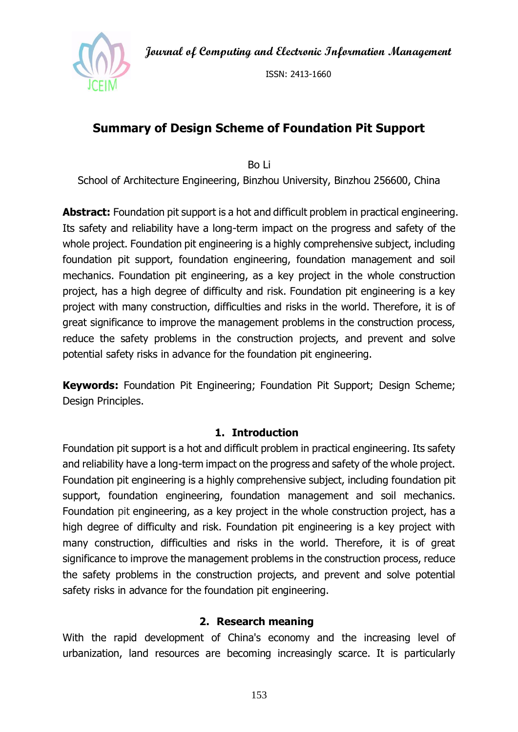**Journal of Computing and Electronic Information Management**



ISSN: 2413-1660

# **Summary of Design Scheme of Foundation Pit Support**

Bo Li

School of Architecture Engineering, Binzhou University, Binzhou 256600, China

**Abstract:** Foundation pit support is a hot and difficult problem in practical engineering. Its safety and reliability have a long-term impact on the progress and safety of the whole project. Foundation pit engineering is a highly comprehensive subject, including foundation pit support, foundation engineering, foundation management and soil mechanics. Foundation pit engineering, as a key project in the whole construction project, has a high degree of difficulty and risk. Foundation pit engineering is a key project with many construction, difficulties and risks in the world. Therefore, it is of great significance to improve the management problems in the construction process, reduce the safety problems in the construction projects, and prevent and solve potential safety risks in advance for the foundation pit engineering.

**Keywords:** Foundation Pit Engineering; Foundation Pit Support; Design Scheme; Design Principles.

### **1. Introduction**

Foundation pit support is a hot and difficult problem in practical engineering. Its safety and reliability have a long-term impact on the progress and safety of the whole project. Foundation pit engineering is a highly comprehensive subject, including foundation pit support, foundation engineering, foundation management and soil mechanics. Foundation pit engineering, as a key project in the whole construction project, has a high degree of difficulty and risk. Foundation pit engineering is a key project with many construction, difficulties and risks in the world. Therefore, it is of great significance to improve the management problems in the construction process, reduce the safety problems in the construction projects, and prevent and solve potential safety risks in advance for the foundation pit engineering.

#### **2. Research meaning**

With the rapid development of China's economy and the increasing level of urbanization, land resources are becoming increasingly scarce. It is particularly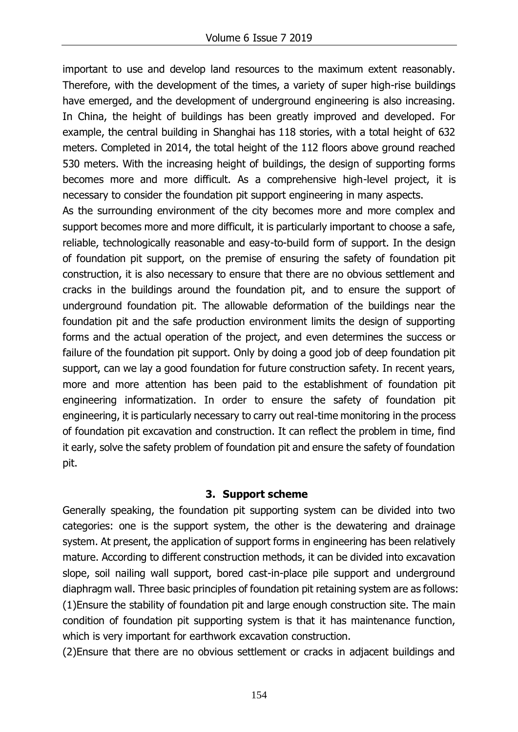important to use and develop land resources to the maximum extent reasonably. Therefore, with the development of the times, a variety of super high-rise buildings have emerged, and the development of underground engineering is also increasing. In China, the height of buildings has been greatly improved and developed. For example, the central building in Shanghai has 118 stories, with a total height of 632 meters. Completed in 2014, the total height of the 112 floors above ground reached 530 meters. With the increasing height of buildings, the design of supporting forms becomes more and more difficult. As a comprehensive high-level project, it is necessary to consider the foundation pit support engineering in many aspects.

As the surrounding environment of the city becomes more and more complex and support becomes more and more difficult, it is particularly important to choose a safe, reliable, technologically reasonable and easy-to-build form of support. In the design of foundation pit support, on the premise of ensuring the safety of foundation pit construction, it is also necessary to ensure that there are no obvious settlement and cracks in the buildings around the foundation pit, and to ensure the support of underground foundation pit. The allowable deformation of the buildings near the foundation pit and the safe production environment limits the design of supporting forms and the actual operation of the project, and even determines the success or failure of the foundation pit support. Only by doing a good job of deep foundation pit support, can we lay a good foundation for future construction safety. In recent years, more and more attention has been paid to the establishment of foundation pit engineering informatization. In order to ensure the safety of foundation pit engineering, it is particularly necessary to carry out real-time monitoring in the process of foundation pit excavation and construction. It can reflect the problem in time, find it early, solve the safety problem of foundation pit and ensure the safety of foundation pit.

## **3. Support scheme**

Generally speaking, the foundation pit supporting system can be divided into two categories: one is the support system, the other is the dewatering and drainage system. At present, the application of support forms in engineering has been relatively mature. According to different construction methods, it can be divided into excavation slope, soil nailing wall support, bored cast-in-place pile support and underground diaphragm wall. Three basic principles of foundation pit retaining system are as follows: (1)Ensure the stability of foundation pit and large enough construction site. The main condition of foundation pit supporting system is that it has maintenance function, which is very important for earthwork excavation construction.

(2)Ensure that there are no obvious settlement or cracks in adjacent buildings and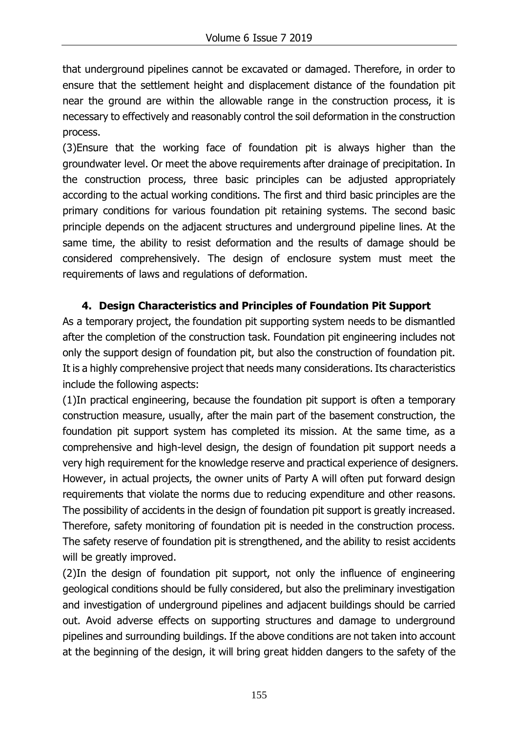that underground pipelines cannot be excavated or damaged. Therefore, in order to ensure that the settlement height and displacement distance of the foundation pit near the ground are within the allowable range in the construction process, it is necessary to effectively and reasonably control the soil deformation in the construction process.

(3)Ensure that the working face of foundation pit is always higher than the groundwater level. Or meet the above requirements after drainage of precipitation. In the construction process, three basic principles can be adjusted appropriately according to the actual working conditions. The first and third basic principles are the primary conditions for various foundation pit retaining systems. The second basic principle depends on the adjacent structures and underground pipeline lines. At the same time, the ability to resist deformation and the results of damage should be considered comprehensively. The design of enclosure system must meet the requirements of laws and regulations of deformation.

## **4. Design Characteristics and Principles of Foundation Pit Support**

As a temporary project, the foundation pit supporting system needs to be dismantled after the completion of the construction task. Foundation pit engineering includes not only the support design of foundation pit, but also the construction of foundation pit. It is a highly comprehensive project that needs many considerations. Its characteristics include the following aspects:

(1)In practical engineering, because the foundation pit support is often a temporary construction measure, usually, after the main part of the basement construction, the foundation pit support system has completed its mission. At the same time, as a comprehensive and high-level design, the design of foundation pit support needs a very high requirement for the knowledge reserve and practical experience of designers. However, in actual projects, the owner units of Party A will often put forward design requirements that violate the norms due to reducing expenditure and other reasons. The possibility of accidents in the design of foundation pit support is greatly increased. Therefore, safety monitoring of foundation pit is needed in the construction process. The safety reserve of foundation pit is strengthened, and the ability to resist accidents will be greatly improved.

(2)In the design of foundation pit support, not only the influence of engineering geological conditions should be fully considered, but also the preliminary investigation and investigation of underground pipelines and adjacent buildings should be carried out. Avoid adverse effects on supporting structures and damage to underground pipelines and surrounding buildings. If the above conditions are not taken into account at the beginning of the design, it will bring great hidden dangers to the safety of the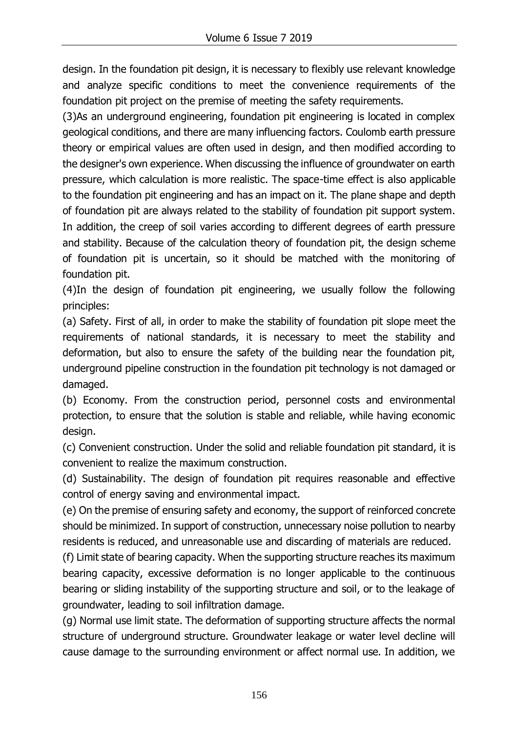design. In the foundation pit design, it is necessary to flexibly use relevant knowledge and analyze specific conditions to meet the convenience requirements of the foundation pit project on the premise of meeting the safety requirements.

(3)As an underground engineering, foundation pit engineering is located in complex geological conditions, and there are many influencing factors. Coulomb earth pressure theory or empirical values are often used in design, and then modified according to the designer's own experience. When discussing the influence of groundwater on earth pressure, which calculation is more realistic. The space-time effect is also applicable to the foundation pit engineering and has an impact on it. The plane shape and depth of foundation pit are always related to the stability of foundation pit support system. In addition, the creep of soil varies according to different degrees of earth pressure and stability. Because of the calculation theory of foundation pit, the design scheme of foundation pit is uncertain, so it should be matched with the monitoring of foundation pit.

(4)In the design of foundation pit engineering, we usually follow the following principles:

(a) Safety. First of all, in order to make the stability of foundation pit slope meet the requirements of national standards, it is necessary to meet the stability and deformation, but also to ensure the safety of the building near the foundation pit, underground pipeline construction in the foundation pit technology is not damaged or damaged.

(b) Economy. From the construction period, personnel costs and environmental protection, to ensure that the solution is stable and reliable, while having economic design.

(c) Convenient construction. Under the solid and reliable foundation pit standard, it is convenient to realize the maximum construction.

(d) Sustainability. The design of foundation pit requires reasonable and effective control of energy saving and environmental impact.

(e) On the premise of ensuring safety and economy, the support of reinforced concrete should be minimized. In support of construction, unnecessary noise pollution to nearby residents is reduced, and unreasonable use and discarding of materials are reduced.

(f) Limit state of bearing capacity. When the supporting structure reaches its maximum bearing capacity, excessive deformation is no longer applicable to the continuous bearing or sliding instability of the supporting structure and soil, or to the leakage of groundwater, leading to soil infiltration damage.

(g) Normal use limit state. The deformation of supporting structure affects the normal structure of underground structure. Groundwater leakage or water level decline will cause damage to the surrounding environment or affect normal use. In addition, we